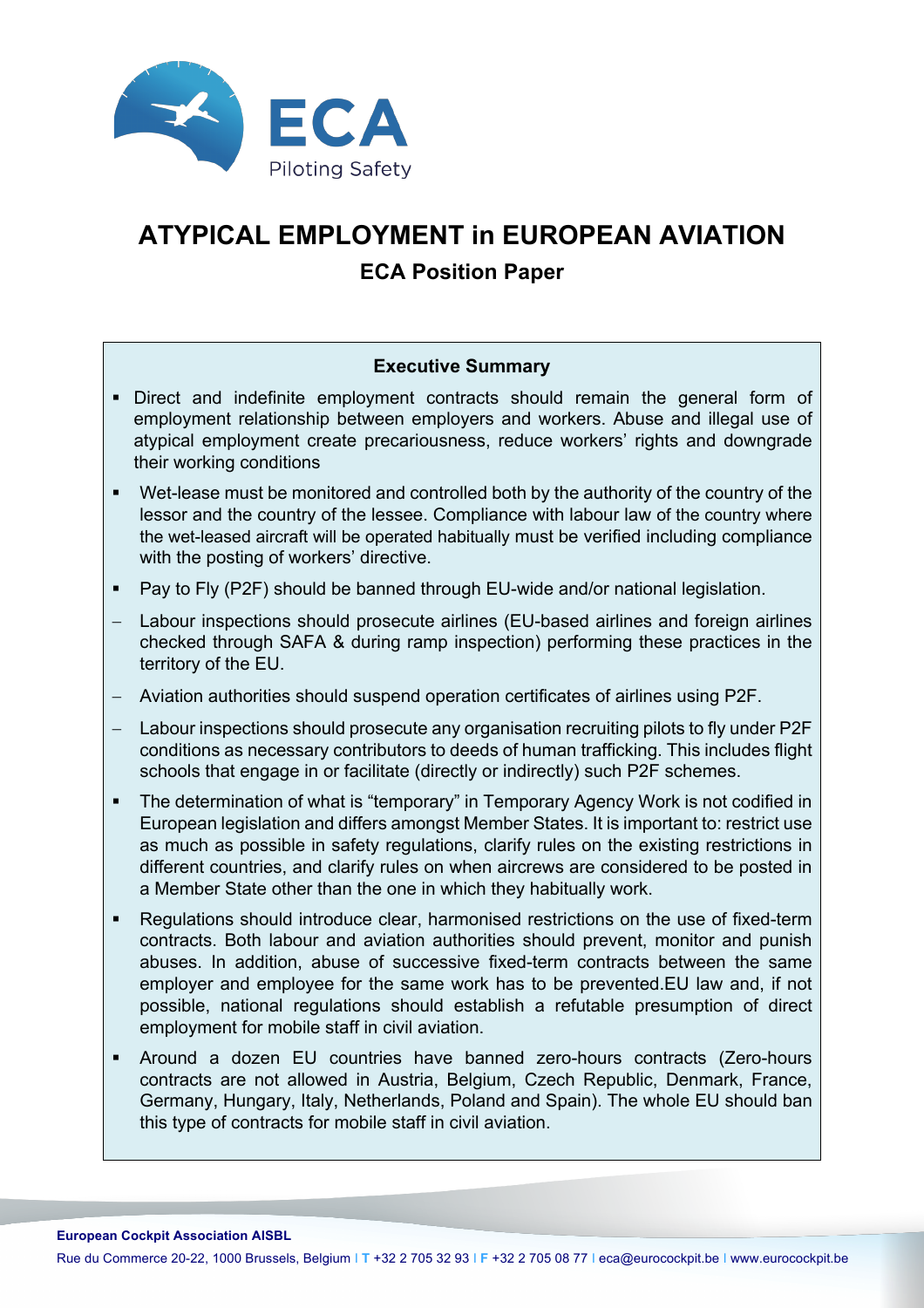

# **ATYPICAL EMPLOYMENT in EUROPEAN AVIATION ECA Position Paper**

## **Executive Summary**

- § Direct and indefinite employment contracts should remain the general form of employment relationship between employers and workers. Abuse and illegal use of atypical employment create precariousness, reduce workers' rights and downgrade their working conditions
- Wet-lease must be monitored and controlled both by the authority of the country of the lessor and the country of the lessee. Compliance with labour law of the country where the wet-leased aircraft will be operated habitually must be verified including compliance with the posting of workers' directive.
- Pay to Fly (P2F) should be banned through EU-wide and/or national legislation.
- Labour inspections should prosecute airlines (EU-based airlines and foreign airlines checked through SAFA & during ramp inspection) performing these practices in the territory of the EU.
- Aviation authorities should suspend operation certificates of airlines using P2F.
- Labour inspections should prosecute any organisation recruiting pilots to fly under P2F conditions as necessary contributors to deeds of human trafficking. This includes flight schools that engage in or facilitate (directly or indirectly) such P2F schemes.
- The determination of what is "temporary" in Temporary Agency Work is not codified in European legislation and differs amongst Member States. It is important to: restrict use as much as possible in safety regulations, clarify rules on the existing restrictions in different countries, and clarify rules on when aircrews are considered to be posted in a Member State other than the one in which they habitually work.
- Regulations should introduce clear, harmonised restrictions on the use of fixed-term contracts. Both labour and aviation authorities should prevent, monitor and punish abuses. In addition, abuse of successive fixed-term contracts between the same employer and employee for the same work has to be prevented.EU law and, if not possible, national regulations should establish a refutable presumption of direct employment for mobile staff in civil aviation.
- § Around a dozen EU countries have banned zero-hours contracts (Zero-hours contracts are not allowed in Austria, Belgium, Czech Republic, Denmark, France, Germany, Hungary, Italy, Netherlands, Poland and Spain). The whole EU should ban this type of contracts for mobile staff in civil aviation.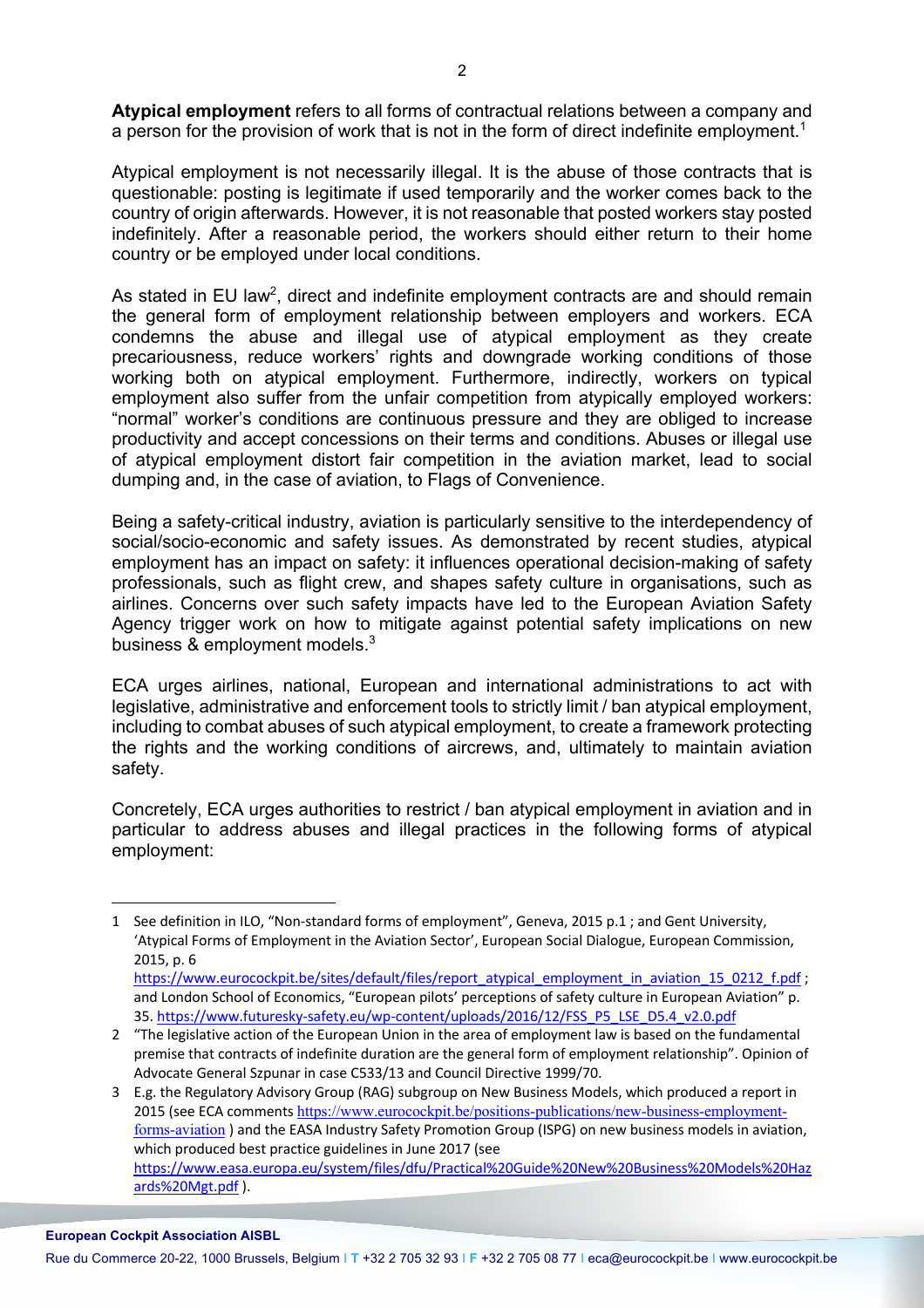**Atypical employment** refers to all forms of contractual relations between a company and a person for the provision of work that is not in the form of direct indefinite employment.<sup>1</sup>

Atypical employment is not necessarily illegal. It is the abuse of those contracts that is questionable: posting is legitimate if used temporarily and the worker comes back to the country of origin afterwards. However, it is not reasonable that posted workers stay posted indefinitely. After a reasonable period, the workers should either return to their home country or be employed under local conditions.

As stated in EU law<sup>2</sup>, direct and indefinite employment contracts are and should remain the general form of employment relationship between employers and workers. ECA condemns the abuse and illegal use of atypical employment as they create precariousness, reduce workers' rights and downgrade working conditions of those working both on atypical employment. Furthermore, indirectly, workers on typical employment also suffer from the unfair competition from atypically employed workers: "normal" worker's conditions are continuous pressure and they are obliged to increase productivity and accept concessions on their terms and conditions. Abuses or illegal use of atypical employment distort fair competition in the aviation market, lead to social dumping and, in the case of aviation, to Flags of Convenience.

Being a safety-critical industry, aviation is particularly sensitive to the interdependency of social/socio-economic and safety issues. As demonstrated by recent studies, atypical employment has an impact on safety: it influences operational decision-making of safety professionals, such as flight crew, and shapes safety culture in organisations, such as airlines. Concerns over such safety impacts have led to the European Aviation Safety Agency trigger work on how to mitigate against potential safety implications on new business & employment models.<sup>3</sup>

ECA urges airlines, national, European and international administrations to act with legislative, administrative and enforcement tools to strictly limit / ban atypical employment, including to combat abuses of such atypical employment, to create a framework protecting the rights and the working conditions of aircrews, and, ultimately to maintain aviation safety.

Concretely, ECA urges authorities to restrict / ban atypical employment in aviation and in particular to address abuses and illegal practices in the following forms of atypical employment:

<sup>1</sup> See definition in ILO, "Non-standard forms of employment", Geneva, 2015 p.1 ; and Gent University, 'Atypical Forms of Employment in the Aviation Sector', European Social Dialogue, European Commission, 2015, p. 6 https://www.eurocockpit.be/sites/default/files/report\_atypical\_employment\_in\_aviation\_15\_0212\_f.pdf ;

and London School of Economics, "European pilots' perceptions of safety culture in European Aviation" p. 35. https://www.futuresky-safety.eu/wp-content/uploads/2016/12/FSS\_P5\_LSE\_D5.4\_v2.0.pdf

<sup>2</sup> "The legislative action of the European Union in the area of employment law is based on the fundamental premise that contracts of indefinite duration are the general form of employment relationship". Opinion of Advocate General Szpunar in case C533/13 and Council Directive 1999/70.

<sup>3</sup> E.g. the Regulatory Advisory Group (RAG) subgroup on New Business Models, which produced a report in 2015 (see ECA comments https://www.eurocockpit.be/positions-publications/new-business-employmentforms-aviation ) and the EASA Industry Safety Promotion Group (ISPG) on new business models in aviation, which produced best practice guidelines in June 2017 (see https://www.easa.europa.eu/system/files/dfu/Practical%20Guide%20New%20Business%20Models%20Haz ards%20Mgt.pdf ).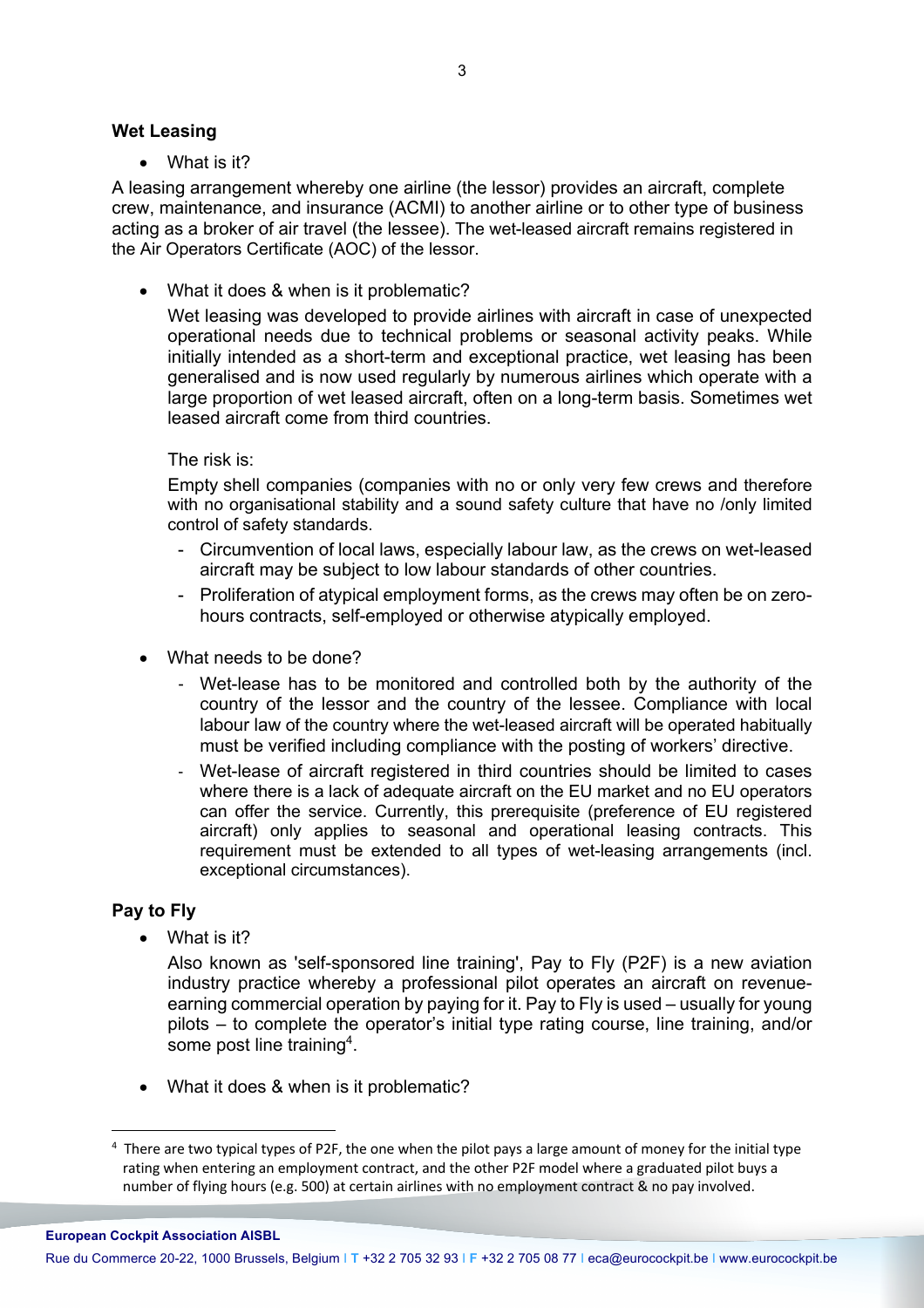#### **Wet Leasing**

• What is it?

A leasing arrangement whereby one airline (the lessor) provides an aircraft, complete crew, maintenance, and insurance (ACMI) to another airline or to other type of business acting as a broker of air travel (the lessee). The wet-leased aircraft remains registered in the Air Operators Certificate (AOC) of the lessor.

• What it does & when is it problematic?

Wet leasing was developed to provide airlines with aircraft in case of unexpected operational needs due to technical problems or seasonal activity peaks. While initially intended as a short-term and exceptional practice, wet leasing has been generalised and is now used regularly by numerous airlines which operate with a large proportion of wet leased aircraft, often on a long-term basis. Sometimes wet leased aircraft come from third countries.

### The risk is:

Empty shell companies (companies with no or only very few crews and therefore with no organisational stability and a sound safety culture that have no /only limited control of safety standards.

- Circumvention of local laws, especially labour law, as the crews on wet-leased aircraft may be subject to low labour standards of other countries.
- Proliferation of atypical employment forms, as the crews may often be on zerohours contracts, self-employed or otherwise atypically employed.
- What needs to be done?
	- Wet-lease has to be monitored and controlled both by the authority of the country of the lessor and the country of the lessee. Compliance with local labour law of the country where the wet-leased aircraft will be operated habitually must be verified including compliance with the posting of workers' directive.
	- Wet-lease of aircraft registered in third countries should be limited to cases where there is a lack of adequate aircraft on the EU market and no EU operators can offer the service. Currently, this prerequisite (preference of EU registered aircraft) only applies to seasonal and operational leasing contracts. This requirement must be extended to all types of wet-leasing arrangements (incl. exceptional circumstances).

### **Pay to Fly**

• What is it?

Also known as 'self-sponsored line training', Pay to Fly (P2F) is a new aviation industry practice whereby a professional pilot operates an aircraft on revenueearning commercial operation by paying for it. Pay to Fly is used – usually for young pilots – to complete the operator's initial type rating course, line training, and/or some post line training<sup>4</sup>.

• What it does & when is it problematic?

 $4$  There are two typical types of P2F, the one when the pilot pays a large amount of money for the initial type rating when entering an employment contract, and the other P2F model where a graduated pilot buys a number of flying hours (e.g. 500) at certain airlines with no employment contract & no pay involved.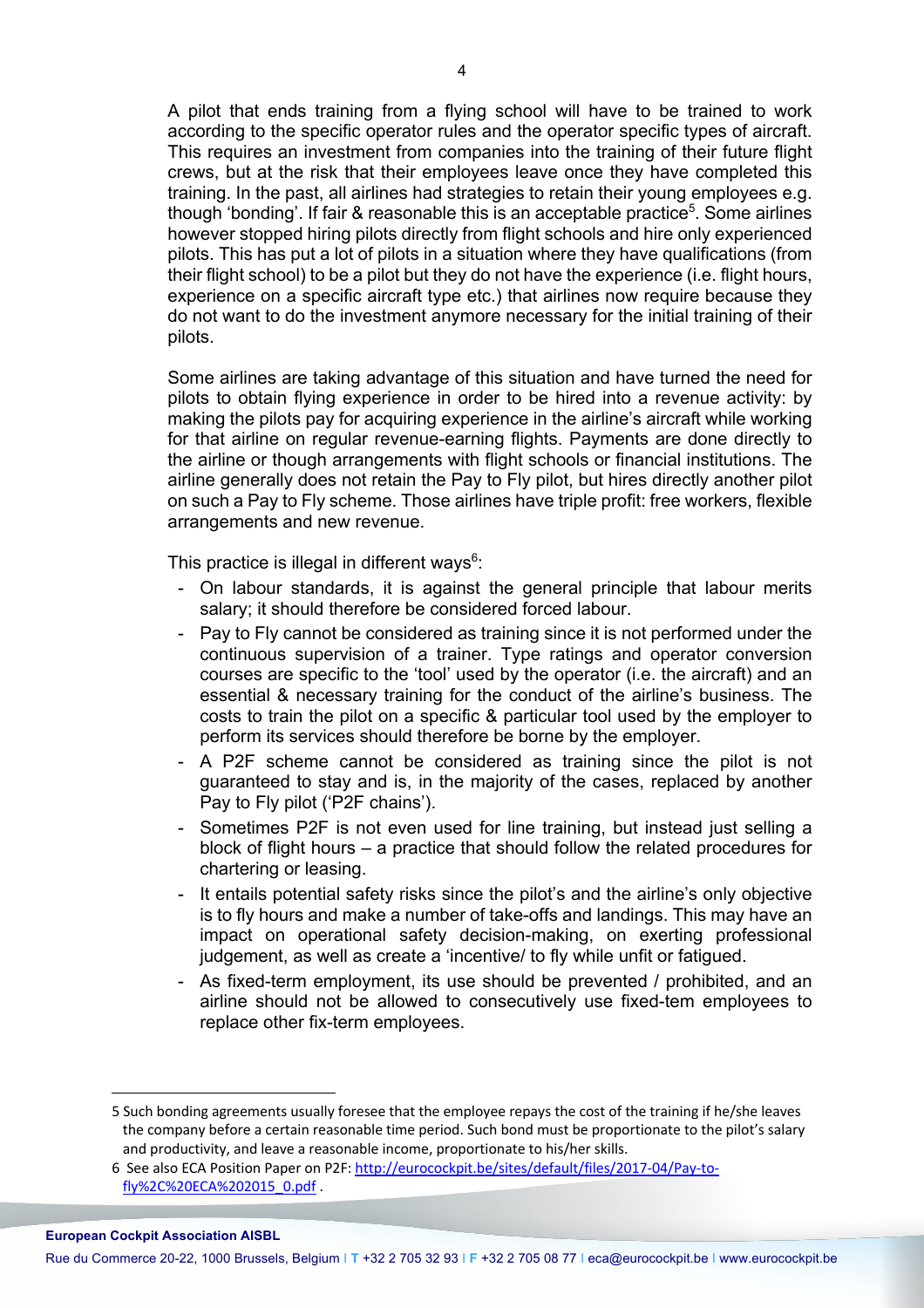A pilot that ends training from a flying school will have to be trained to work according to the specific operator rules and the operator specific types of aircraft. This requires an investment from companies into the training of their future flight crews, but at the risk that their employees leave once they have completed this training. In the past, all airlines had strategies to retain their young employees e.g. though 'bonding'. If fair & reasonable this is an acceptable practice<sup>5</sup>. Some airlines however stopped hiring pilots directly from flight schools and hire only experienced pilots. This has put a lot of pilots in a situation where they have qualifications (from their flight school) to be a pilot but they do not have the experience (i.e. flight hours, experience on a specific aircraft type etc.) that airlines now require because they do not want to do the investment anymore necessary for the initial training of their pilots.

Some airlines are taking advantage of this situation and have turned the need for pilots to obtain flying experience in order to be hired into a revenue activity: by making the pilots pay for acquiring experience in the airline's aircraft while working for that airline on regular revenue-earning flights. Payments are done directly to the airline or though arrangements with flight schools or financial institutions. The airline generally does not retain the Pay to Fly pilot, but hires directly another pilot on such a Pay to Fly scheme. Those airlines have triple profit: free workers, flexible arrangements and new revenue.

This practice is illegal in different ways $6$ :

- On labour standards, it is against the general principle that labour merits salary; it should therefore be considered forced labour.
- Pay to Fly cannot be considered as training since it is not performed under the continuous supervision of a trainer. Type ratings and operator conversion courses are specific to the 'tool' used by the operator (i.e. the aircraft) and an essential & necessary training for the conduct of the airline's business. The costs to train the pilot on a specific & particular tool used by the employer to perform its services should therefore be borne by the employer.
- A P2F scheme cannot be considered as training since the pilot is not guaranteed to stay and is, in the majority of the cases, replaced by another Pay to Fly pilot ('P2F chains').
- Sometimes P2F is not even used for line training, but instead just selling a block of flight hours – a practice that should follow the related procedures for chartering or leasing.
- It entails potential safety risks since the pilot's and the airline's only objective is to fly hours and make a number of take-offs and landings. This may have an impact on operational safety decision-making, on exerting professional judgement, as well as create a 'incentive/ to fly while unfit or fatigued.
- As fixed-term employment, its use should be prevented / prohibited, and an airline should not be allowed to consecutively use fixed-tem employees to replace other fix-term employees.

 $\overline{a}$ 

Rue du Commerce 20-22, 1000 Brussels, Belgium I **T** +32 2 705 32 93 I **F** +32 2 705 08 77 I eca@eurocockpit.be I www.eurocockpit.be

<sup>5</sup> Such bonding agreements usually foresee that the employee repays the cost of the training if he/she leaves the company before a certain reasonable time period. Such bond must be proportionate to the pilot's salary and productivity, and leave a reasonable income, proportionate to his/her skills.

<sup>6</sup> See also ECA Position Paper on P2F: http://eurocockpit.be/sites/default/files/2017-04/Pay-tofly%2C%20ECA%202015\_0.pdf .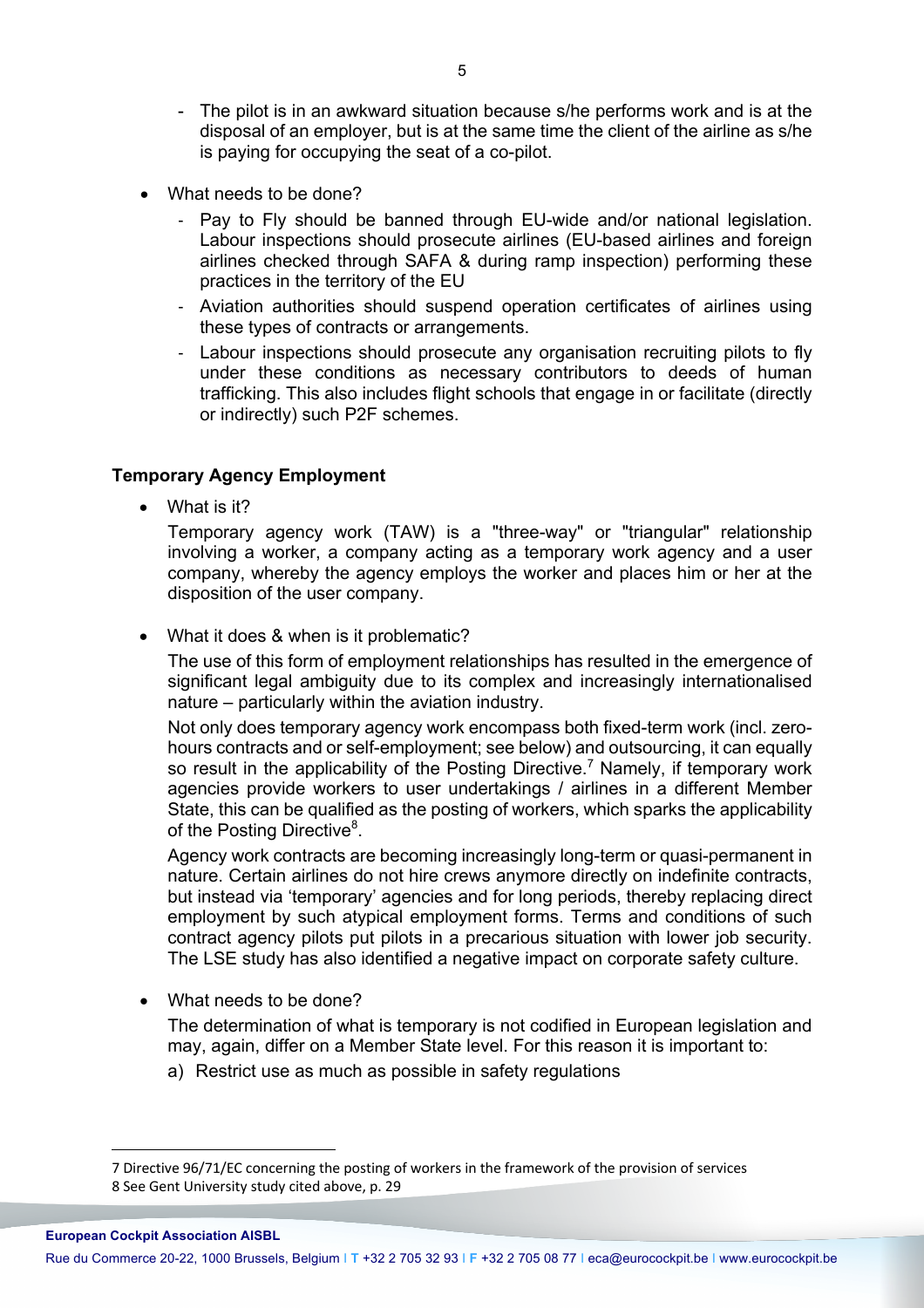- The pilot is in an awkward situation because s/he performs work and is at the disposal of an employer, but is at the same time the client of the airline as s/he is paying for occupying the seat of a co-pilot.
- What needs to be done?
	- Pay to Fly should be banned through EU-wide and/or national legislation. Labour inspections should prosecute airlines (EU-based airlines and foreign airlines checked through SAFA & during ramp inspection) performing these practices in the territory of the EU
	- Aviation authorities should suspend operation certificates of airlines using these types of contracts or arrangements.
	- Labour inspections should prosecute any organisation recruiting pilots to fly under these conditions as necessary contributors to deeds of human trafficking. This also includes flight schools that engage in or facilitate (directly or indirectly) such P2F schemes.

### **Temporary Agency Employment**

• What is it?

Temporary agency work (TAW) is a "three-way" or "triangular" relationship involving a worker, a company acting as a temporary work agency and a user company, whereby the agency employs the worker and places him or her at the disposition of the user company.

• What it does & when is it problematic?

The use of this form of employment relationships has resulted in the emergence of significant legal ambiguity due to its complex and increasingly internationalised nature – particularly within the aviation industry.

Not only does temporary agency work encompass both fixed-term work (incl. zerohours contracts and or self-employment; see below) and outsourcing, it can equally so result in the applicability of the Posting Directive.<sup>7</sup> Namely, if temporary work agencies provide workers to user undertakings / airlines in a different Member State, this can be qualified as the posting of workers, which sparks the applicability of the Posting Directive<sup>8</sup>.

Agency work contracts are becoming increasingly long-term or quasi-permanent in nature. Certain airlines do not hire crews anymore directly on indefinite contracts, but instead via 'temporary' agencies and for long periods, thereby replacing direct employment by such atypical employment forms. Terms and conditions of such contract agency pilots put pilots in a precarious situation with lower job security. The LSE study has also identified a negative impact on corporate safety culture.

• What needs to be done?

The determination of what is temporary is not codified in European legislation and may, again, differ on a Member State level. For this reason it is important to:

a) Restrict use as much as possible in safety regulations

 $\overline{a}$ 

Rue du Commerce 20-22, 1000 Brussels, Belgium I **T** +32 2 705 32 93 I **F** +32 2 705 08 77 I eca@eurocockpit.be I www.eurocockpit.be

<sup>7</sup> Directive 96/71/EC concerning the posting of workers in the framework of the provision of services 8 See Gent University study cited above, p. 29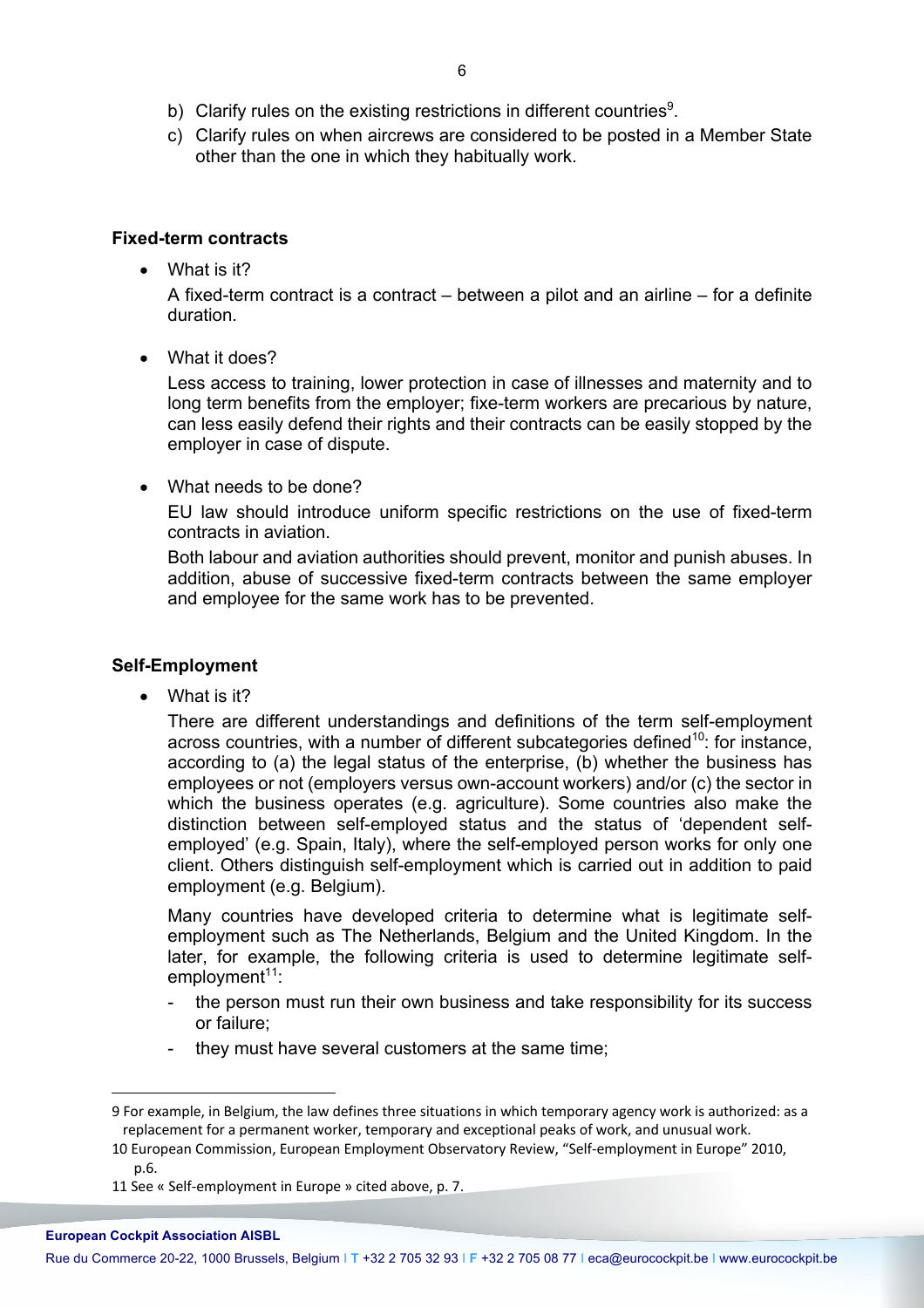- b) Clarify rules on the existing restrictions in different countries<sup>9</sup>.
- c) Clarify rules on when aircrews are considered to be posted in a Member State other than the one in which they habitually work.

### **Fixed-term contracts**

• What is it?

A fixed-term contract is a contract – between a pilot and an airline – for a definite duration.

• What it does?

Less access to training, lower protection in case of illnesses and maternity and to long term benefits from the employer; fixe-term workers are precarious by nature, can less easily defend their rights and their contracts can be easily stopped by the employer in case of dispute.

• What needs to be done?

EU law should introduce uniform specific restrictions on the use of fixed-term contracts in aviation.

Both labour and aviation authorities should prevent, monitor and punish abuses. In addition, abuse of successive fixed-term contracts between the same employer and employee for the same work has to be prevented.

## **Self-Employment**

• What is it?

There are different understandings and definitions of the term self-employment across countries, with a number of different subcategories defined<sup>10</sup>: for instance, according to (a) the legal status of the enterprise, (b) whether the business has employees or not (employers versus own-account workers) and/or (c) the sector in which the business operates (e.g. agriculture). Some countries also make the distinction between self-employed status and the status of 'dependent selfemployed' (e.g. Spain, Italy), where the self-employed person works for only one client. Others distinguish self-employment which is carried out in addition to paid employment (e.g. Belgium).

Many countries have developed criteria to determine what is legitimate selfemployment such as The Netherlands, Belgium and the United Kingdom. In the later, for example, the following criteria is used to determine legitimate selfemployment<sup>11</sup>:

- the person must run their own business and take responsibility for its success or failure;
- they must have several customers at the same time;

<sup>9</sup> For example, in Belgium, the law defines three situations in which temporary agency work is authorized: as a replacement for a permanent worker, temporary and exceptional peaks of work, and unusual work.

<sup>10</sup> European Commission, European Employment Observatory Review, "Self-employment in Europe" 2010, p.6.

<sup>11</sup> See « Self-employment in Europe » cited above, p. 7.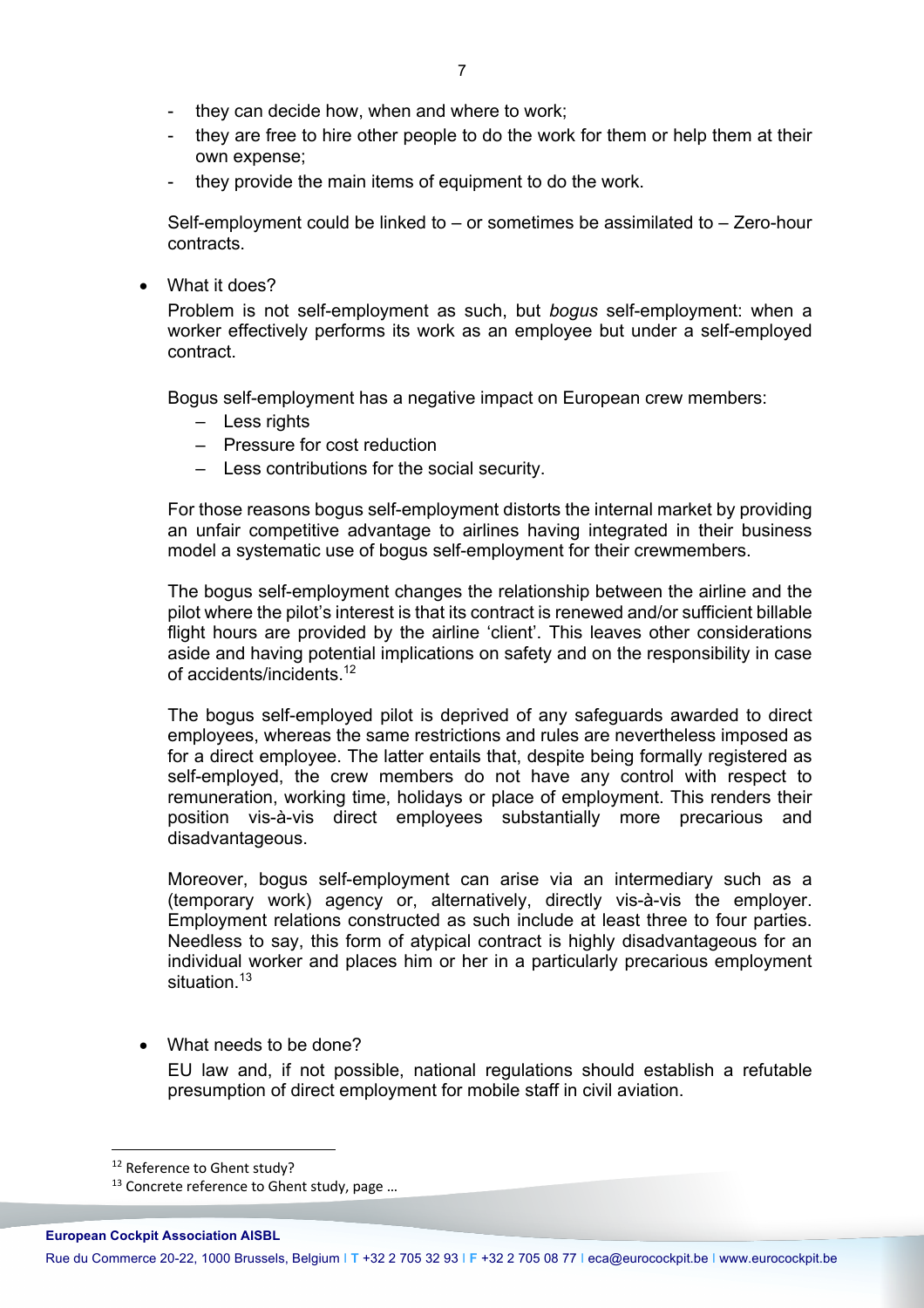- they can decide how, when and where to work;
- they are free to hire other people to do the work for them or help them at their own expense;
- they provide the main items of equipment to do the work.

Self-employment could be linked to – or sometimes be assimilated to – Zero-hour contracts.

• What it does?

Problem is not self-employment as such, but *bogus* self-employment: when a worker effectively performs its work as an employee but under a self-employed contract.

Bogus self-employment has a negative impact on European crew members:

- Less rights
- Pressure for cost reduction
- Less contributions for the social security.

For those reasons bogus self-employment distorts the internal market by providing an unfair competitive advantage to airlines having integrated in their business model a systematic use of bogus self-employment for their crewmembers.

The bogus self-employment changes the relationship between the airline and the pilot where the pilot's interest is that its contract is renewed and/or sufficient billable flight hours are provided by the airline 'client'. This leaves other considerations aside and having potential implications on safety and on the responsibility in case of accidents/incidents.12

The bogus self-employed pilot is deprived of any safeguards awarded to direct employees, whereas the same restrictions and rules are nevertheless imposed as for a direct employee. The latter entails that, despite being formally registered as self-employed, the crew members do not have any control with respect to remuneration, working time, holidays or place of employment. This renders their position vis-à-vis direct employees substantially more precarious and disadvantageous.

Moreover, bogus self-employment can arise via an intermediary such as a (temporary work) agency or, alternatively, directly vis-à-vis the employer. Employment relations constructed as such include at least three to four parties. Needless to say, this form of atypical contract is highly disadvantageous for an individual worker and places him or her in a particularly precarious employment situation.<sup>13</sup>

• What needs to be done?

EU law and, if not possible, national regulations should establish a refutable presumption of direct employment for mobile staff in civil aviation.

<sup>&</sup>lt;sup>12</sup> Reference to Ghent study?<br><sup>13</sup> Concrete reference to Ghent study, page ...